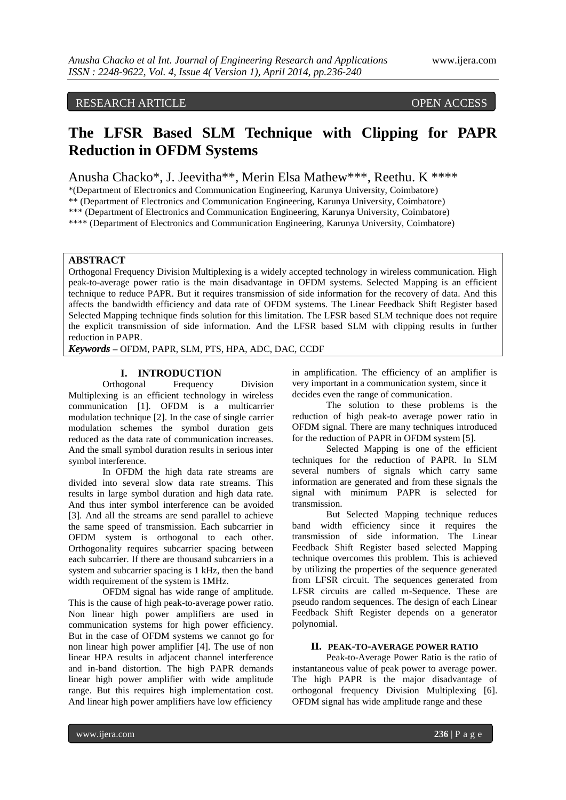# RESEARCH ARTICLE OPEN ACCESS

# **The LFSR Based SLM Technique with Clipping for PAPR Reduction in OFDM Systems**

Anusha Chacko\*, J. Jeevitha\*\*, Merin Elsa Mathew\*\*\*, Reethu. K \*\*\*\*

\*(Department of Electronics and Communication Engineering, Karunya University, Coimbatore)

\*\* (Department of Electronics and Communication Engineering, Karunya University, Coimbatore)

\*\*\* (Department of Electronics and Communication Engineering, Karunya University, Coimbatore)

\*\*\*\* (Department of Electronics and Communication Engineering, Karunya University, Coimbatore)

# **ABSTRACT**

Orthogonal Frequency Division Multiplexing is a widely accepted technology in wireless communication. High peak-to-average power ratio is the main disadvantage in OFDM systems. Selected Mapping is an efficient technique to reduce PAPR. But it requires transmission of side information for the recovery of data. And this affects the bandwidth efficiency and data rate of OFDM systems. The Linear Feedback Shift Register based Selected Mapping technique finds solution for this limitation. The LFSR based SLM technique does not require the explicit transmission of side information. And the LFSR based SLM with clipping results in further reduction in PAPR.

*Keywords* **–** OFDM, PAPR, SLM, PTS, HPA, ADC, DAC, CCDF

# **I. INTRODUCTION**

Orthogonal Frequency Division Multiplexing is an efficient technology in wireless communication [1]. OFDM is a multicarrier modulation technique [2]. In the case of single carrier modulation schemes the symbol duration gets reduced as the data rate of communication increases. And the small symbol duration results in serious inter symbol interference.

In OFDM the high data rate streams are divided into several slow data rate streams. This results in large symbol duration and high data rate. And thus inter symbol interference can be avoided [3]. And all the streams are send parallel to achieve the same speed of transmission. Each subcarrier in OFDM system is orthogonal to each other. Orthogonality requires subcarrier spacing between each subcarrier. If there are thousand subcarriers in a system and subcarrier spacing is 1 kHz, then the band width requirement of the system is 1MHz.

OFDM signal has wide range of amplitude. This is the cause of high peak-to-average power ratio. Non linear high power amplifiers are used in communication systems for high power efficiency. But in the case of OFDM systems we cannot go for non linear high power amplifier [4]. The use of non linear HPA results in adjacent channel interference and in-band distortion. The high PAPR demands linear high power amplifier with wide amplitude range. But this requires high implementation cost. And linear high power amplifiers have low efficiency

in amplification. The efficiency of an amplifier is very important in a communication system, since it decides even the range of communication.

The solution to these problems is the reduction of high peak-to average power ratio in OFDM signal. There are many techniques introduced for the reduction of PAPR in OFDM system [5].

Selected Mapping is one of the efficient techniques for the reduction of PAPR. In SLM several numbers of signals which carry same information are generated and from these signals the signal with minimum PAPR is selected for transmission.

But Selected Mapping technique reduces band width efficiency since it requires the transmission of side information. The Linear Feedback Shift Register based selected Mapping technique overcomes this problem. This is achieved by utilizing the properties of the sequence generated from LFSR circuit. The sequences generated from LFSR circuits are called m-Sequence. These are pseudo random sequences. The design of each Linear Feedback Shift Register depends on a generator polynomial.

# **II. PEAK-TO-AVERAGE POWER RATIO**

Peak-to-Average Power Ratio is the ratio of instantaneous value of peak power to average power. The high PAPR is the major disadvantage of orthogonal frequency Division Multiplexing [6]. OFDM signal has wide amplitude range and these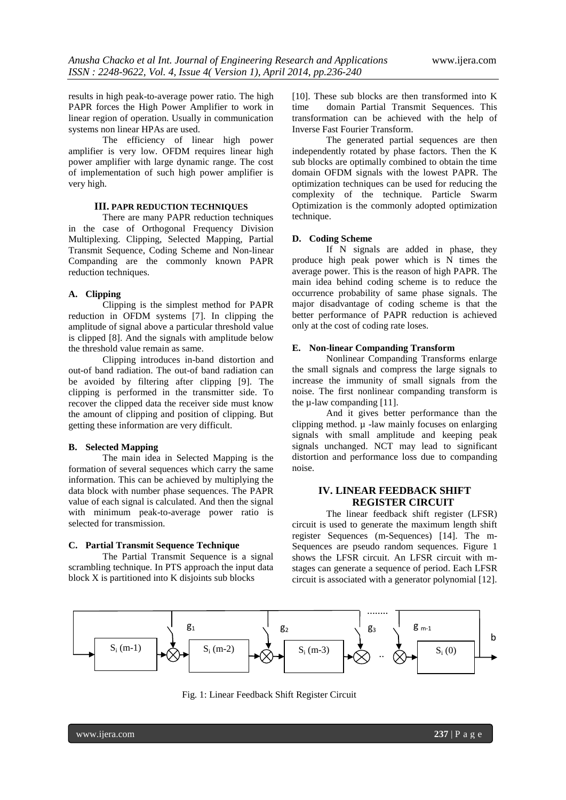results in high peak-to-average power ratio. The high PAPR forces the High Power Amplifier to work in linear region of operation. Usually in communication systems non linear HPAs are used.

The efficiency of linear high power amplifier is very low. OFDM requires linear high power amplifier with large dynamic range. The cost of implementation of such high power amplifier is very high.

## **III. PAPR REDUCTION TECHNIQUES**

There are many PAPR reduction techniques in the case of Orthogonal Frequency Division Multiplexing. Clipping, Selected Mapping, Partial Transmit Sequence, Coding Scheme and Non-linear Companding are the commonly known PAPR reduction techniques.

## **A. Clipping**

Clipping is the simplest method for PAPR reduction in OFDM systems [7]. In clipping the amplitude of signal above a particular threshold value is clipped [8]. And the signals with amplitude below the threshold value remain as same.

Clipping introduces in-band distortion and out-of band radiation. The out-of band radiation can be avoided by filtering after clipping [9]. The clipping is performed in the transmitter side. To recover the clipped data the receiver side must know the amount of clipping and position of clipping. But getting these information are very difficult.

#### **B. Selected Mapping**

The main idea in Selected Mapping is the formation of several sequences which carry the same information. This can be achieved by multiplying the data block with number phase sequences. The PAPR value of each signal is calculated. And then the signal with minimum peak-to-average power ratio is selected for transmission.

## **C. Partial Transmit Sequence Technique**

The Partial Transmit Sequence is a signal scrambling technique. In PTS approach the input data block X is partitioned into K disjoints sub blocks

[10]. These sub blocks are then transformed into K time domain Partial Transmit Sequences. This transformation can be achieved with the help of Inverse Fast Fourier Transform.

The generated partial sequences are then independently rotated by phase factors. Then the K sub blocks are optimally combined to obtain the time domain OFDM signals with the lowest PAPR. The optimization techniques can be used for reducing the complexity of the technique. Particle Swarm Optimization is the commonly adopted optimization technique.

## **D. Coding Scheme**

If N signals are added in phase, they produce high peak power which is N times the average power. This is the reason of high PAPR. The main idea behind coding scheme is to reduce the occurrence probability of same phase signals. The major disadvantage of coding scheme is that the better performance of PAPR reduction is achieved only at the cost of coding rate loses.

# **E. Non-linear Companding Transform**

Nonlinear Companding Transforms enlarge the small signals and compress the large signals to increase the immunity of small signals from the noise. The first nonlinear companding transform is the  $\mu$ -law companding [11].

And it gives better performance than the clipping method.  $\mu$  -law mainly focuses on enlarging signals with small amplitude and keeping peak signals unchanged. NCT may lead to significant distortion and performance loss due to companding noise.

# **IV. LINEAR FEEDBACK SHIFT REGISTER CIRCUIT**

The linear feedback shift register (LFSR) circuit is used to generate the maximum length shift register Sequences (m-Sequences) [14]. The m-Sequences are pseudo random sequences. Figure 1 shows the LFSR circuit. An LFSR circuit with mstages can generate a sequence of period. Each LFSR circuit is associated with a generator polynomial [12].



Fig. 1: Linear Feedback Shift Register Circuit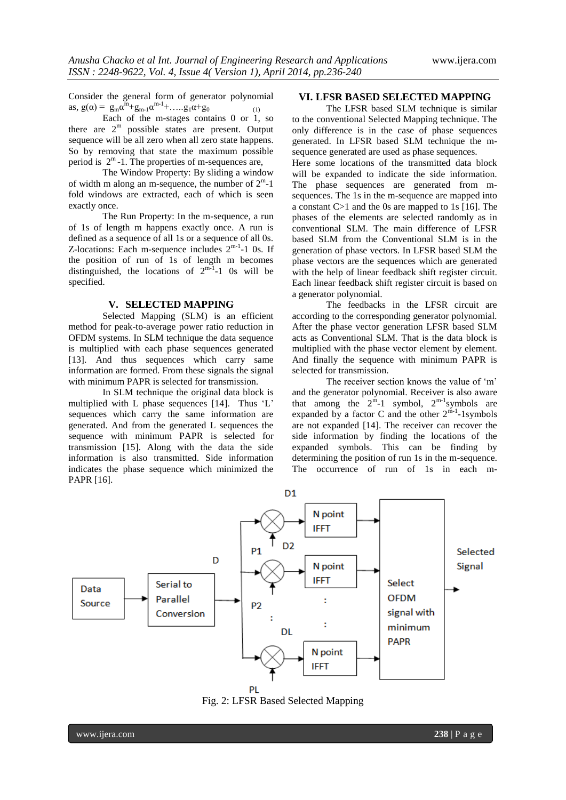Consider the general form of generator polynomial as,  $g(\alpha) = g_m \alpha^m + g_{m-1} \alpha^{m-1} + \dots + g_1 \alpha + g_0$  (1)

Each of the m-stages contains 0 or 1, so there are  $2<sup>m</sup>$  possible states are present. Output sequence will be all zero when all zero state happens. So by removing that state the maximum possible period is  $2^m$ -1. The properties of m-sequences are,

The Window Property: By sliding a window of width m along an m-sequence, the number of  $2^{\text{m}}$ -1 fold windows are extracted, each of which is seen exactly once.

The Run Property: In the m-sequence, a run of 1s of length m happens exactly once. A run is defined as a sequence of all 1s or a sequence of all 0s. Z-locations: Each m-sequence includes  $2^{m-1}$ -1 0s. If the position of run of 1s of length m becomes distinguished, the locations of  $2^{m-1}-1$  Os will be specified.

#### **V. SELECTED MAPPING**

Selected Mapping (SLM) is an efficient method for peak-to-average power ratio reduction in OFDM systems. In SLM technique the data sequence is multiplied with each phase sequences generated [13]. And thus sequences which carry same information are formed. From these signals the signal with minimum PAPR is selected for transmission.

In SLM technique the original data block is multiplied with L phase sequences [14]. Thus 'L' sequences which carry the same information are generated. And from the generated L sequences the sequence with minimum PAPR is selected for transmission [15]. Along with the data the side information is also transmitted. Side information indicates the phase sequence which minimized the PAPR [16].

### **VI. LFSR BASED SELECTED MAPPING**

The LFSR based SLM technique is similar to the conventional Selected Mapping technique. The only difference is in the case of phase sequences generated. In LFSR based SLM technique the msequence generated are used as phase sequences.

Here some locations of the transmitted data block will be expanded to indicate the side information. The phase sequences are generated from msequences. The 1s in the m-sequence are mapped into a constant C>1 and the 0s are mapped to 1s [16]. The phases of the elements are selected randomly as in conventional SLM. The main difference of LFSR based SLM from the Conventional SLM is in the generation of phase vectors. In LFSR based SLM the phase vectors are the sequences which are generated with the help of linear feedback shift register circuit. Each linear feedback shift register circuit is based on a generator polynomial.

The feedbacks in the LFSR circuit are according to the corresponding generator polynomial. After the phase vector generation LFSR based SLM acts as Conventional SLM. That is the data block is multiplied with the phase vector element by element. And finally the sequence with minimum PAPR is selected for transmission.

The receiver section knows the value of 'm' and the generator polynomial. Receiver is also aware that among the  $2^m-1$  symbol,  $2^{m-1}$ symbols are expanded by a factor C and the other  $2^{m-1}$ -1symbols are not expanded [14]. The receiver can recover the side information by finding the locations of the expanded symbols. This can be finding by determining the position of run 1s in the m-sequence. The occurrence of run of 1s in each m-



Fig. 2: LFSR Based Selected Mapping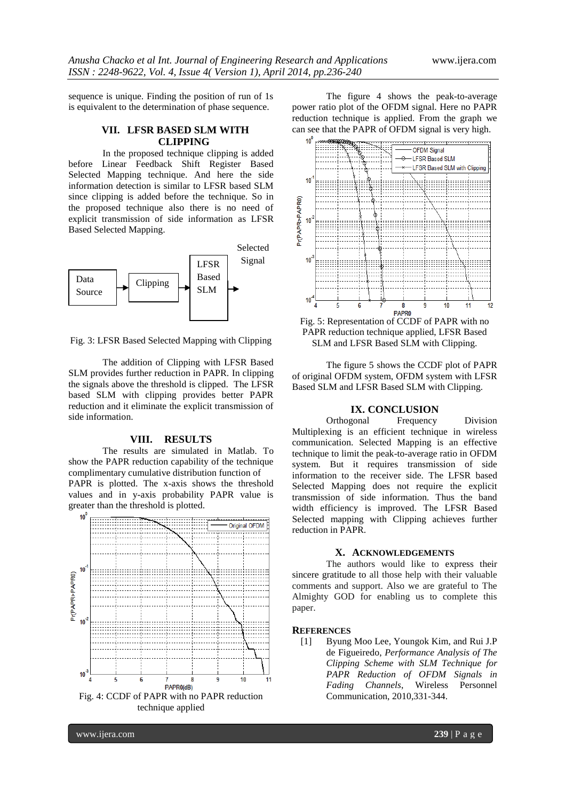sequence is unique. Finding the position of run of 1s is equivalent to the determination of phase sequence.

# **VII. LFSR BASED SLM WITH CLIPPING**

In the proposed technique clipping is added before Linear Feedback Shift Register Based Selected Mapping technique. And here the side information detection is similar to LFSR based SLM since clipping is added before the technique. So in the proposed technique also there is no need of explicit transmission of side information as LFSR Based Selected Mapping.



Fig. 3: LFSR Based Selected Mapping with Clipping

The addition of Clipping with LFSR Based SLM provides further reduction in PAPR. In clipping the signals above the threshold is clipped. The LFSR based SLM with clipping provides better PAPR reduction and it eliminate the explicit transmission of side information.

#### **VIII. RESULTS**

The results are simulated in Matlab. To show the PAPR reduction capability of the technique complimentary cumulative distribution function of PAPR is plotted. The x-axis shows the threshold values and in y-axis probability PAPR value is greater than the threshold is plotted.



The figure 4 shows the peak-to-average power ratio plot of the OFDM signal. Here no PAPR reduction technique is applied. From the graph we can see that the PAPR of OFDM signal is very high.



Fig. 5: Representation of CCDF of PAPR with no PAPR reduction technique applied, LFSR Based SLM and LFSR Based SLM with Clipping.

The figure 5 shows the CCDF plot of PAPR of original OFDM system, OFDM system with LFSR Based SLM and LFSR Based SLM with Clipping.

# **IX. CONCLUSION**

Orthogonal Frequency Division Multiplexing is an efficient technique in wireless communication. Selected Mapping is an effective technique to limit the peak-to-average ratio in OFDM system. But it requires transmission of side information to the receiver side. The LFSR based Selected Mapping does not require the explicit transmission of side information. Thus the band width efficiency is improved. The LFSR Based Selected mapping with Clipping achieves further reduction in PAPR.

## **X. ACKNOWLEDGEMENTS**

The authors would like to express their sincere gratitude to all those help with their valuable comments and support. Also we are grateful to The Almighty GOD for enabling us to complete this paper.

## **REFERENCES**

[1] Byung Moo Lee, Youngok Kim, and Rui J.P de Figueiredo, *Performance Analysis of The Clipping Scheme with SLM Technique for PAPR Reduction of OFDM Signals in Fading Channels*, Wireless Personnel Communication, 2010,331-344.